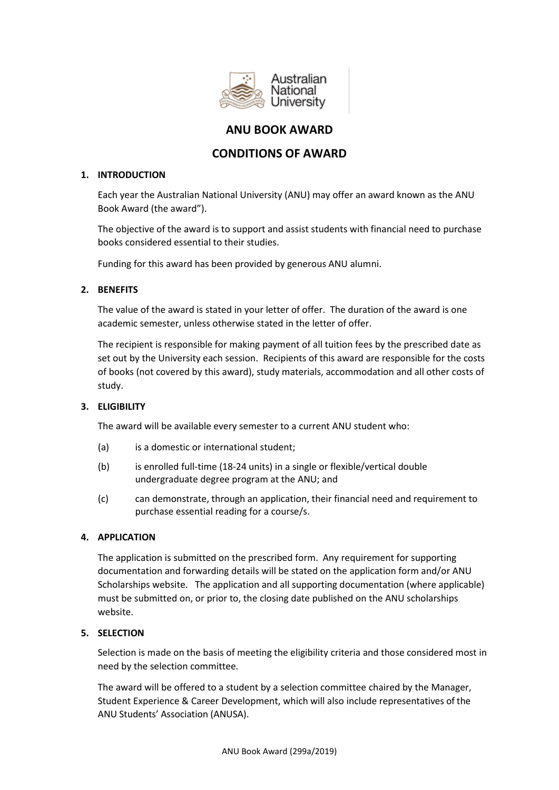

# **ANU BOOK AWARD**

# **CONDITIONS OF AWARD**

## **1. INTRODUCTION**

Each year the Australian National University (ANU) may offer an award known as the ANU Book Award (the award").

The objective of the award is to support and assist students with financial need to purchase books considered essential to their studies.

Funding for this award has been provided by generous ANU alumni.

## **2. BENEFITS**

The value of the award is stated in your letter of offer. The duration of the award is one academic semester, unless otherwise stated in the letter of offer.

The recipient is responsible for making payment of all tuition fees by the prescribed date as set out by the University each session. Recipients of this award are responsible for the costs of books (not covered by this award), study materials, accommodation and all other costs of study.

## **3. ELIGIBILITY**

The award will be available every semester to a current ANU student who:

- (a) is a domestic or international student:
- (b) is enrolled full-time (18-24 units) in a single or flexible/vertical double undergraduate degree program at the ANU; and
- (c) can demonstrate, through an application, their financial need and requirement to purchase essential reading for a course/s.

## **4. APPLICATION**

The application is submitted on the prescribed form. Any requirement for supporting documentation and forwarding details will be stated on the application form and/or ANU Scholarships website. The application and all supporting documentation (where applicable) must be submitted on, or prior to, the closing date published on the ANU scholarships website.

## **5. SELECTION**

Selection is made on the basis of meeting the eligibility criteria and those considered most in need by the selection committee*.*

The award will be offered to a student by a selection committee chaired by the Manager, Student Experience & Career Development, which will also include representatives of the ANU Students' Association (ANUSA).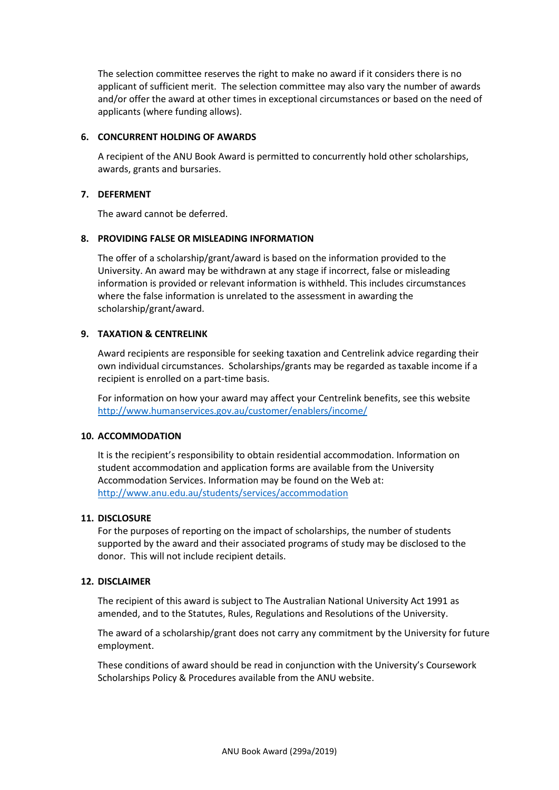The selection committee reserves the right to make no award if it considers there is no applicant of sufficient merit. The selection committee may also vary the number of awards and/or offer the award at other times in exceptional circumstances or based on the need of applicants (where funding allows).

### **6. CONCURRENT HOLDING OF AWARDS**

A recipient of the ANU Book Award is permitted to concurrently hold other scholarships, awards, grants and bursaries.

### **7. DEFERMENT**

The award cannot be deferred.

### **8. PROVIDING FALSE OR MISLEADING INFORMATION**

The offer of a scholarship/grant/award is based on the information provided to the University. An award may be withdrawn at any stage if incorrect, false or misleading information is provided or relevant information is withheld. This includes circumstances where the false information is unrelated to the assessment in awarding the scholarship/grant/award.

## **9. TAXATION & CENTRELINK**

Award recipients are responsible for seeking taxation and Centrelink advice regarding their own individual circumstances. Scholarships/grants may be regarded as taxable income if a recipient is enrolled on a part-time basis.

For information on how your award may affect your Centrelink benefits, see this website <http://www.humanservices.gov.au/customer/enablers/income/>

### **10. ACCOMMODATION**

It is the recipient's responsibility to obtain residential accommodation. Information on student accommodation and application forms are available from the University Accommodation Services. Information may be found on the Web at: <http://www.anu.edu.au/students/services/accommodation>

#### **11. DISCLOSURE**

For the purposes of reporting on the impact of scholarships, the number of students supported by the award and their associated programs of study may be disclosed to the donor. This will not include recipient details.

#### **12. DISCLAIMER**

The recipient of this award is subject to The Australian National University Act 1991 as amended, and to the Statutes, Rules, Regulations and Resolutions of the University.

The award of a scholarship/grant does not carry any commitment by the University for future employment.

These conditions of award should be read in conjunction with the University's Coursework Scholarships Policy & Procedures available from the ANU website.